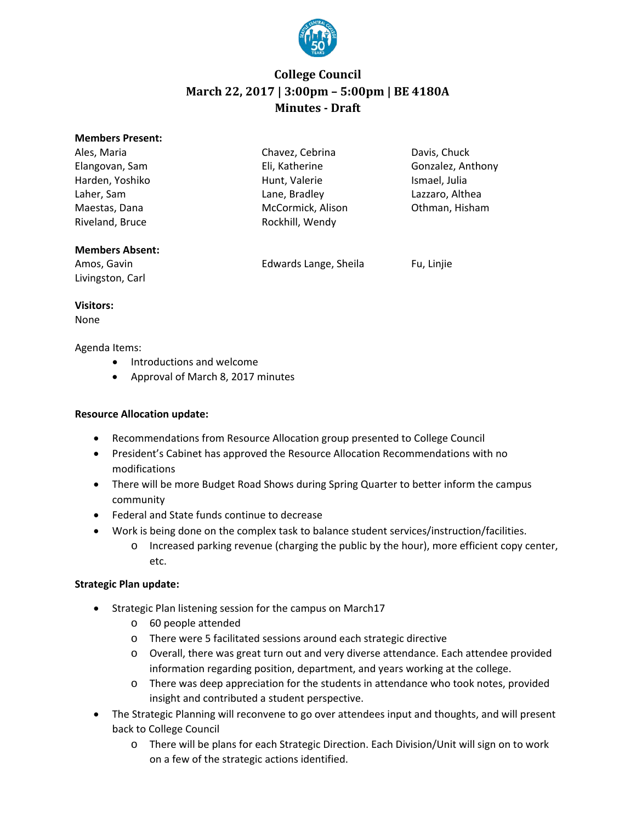

# **College Council March 22, 2017 | 3:00pm – 5:00pm | BE 4180A Minutes - Draft**

| <b>Members Present:</b> |                   |                   |
|-------------------------|-------------------|-------------------|
| Ales, Maria             | Chavez, Cebrina   | Davis, Chuck      |
| Elangovan, Sam          | Eli, Katherine    | Gonzalez, Anthony |
| Harden, Yoshiko         | Hunt, Valerie     | Ismael, Julia     |
| Laher, Sam              | Lane, Bradley     | Lazzaro, Althea   |
| Maestas, Dana           | McCormick, Alison | Othman, Hisham    |
| Riveland, Bruce         | Rockhill, Wendy   |                   |
|                         |                   |                   |

#### **Members Absent:**

Amos, Gavin **Edwards Lange, Sheila** Fu, Linjie Livingston, Carl

**Visitors:**

None

Agenda Items:

- Introductions and welcome
- Approval of March 8, 2017 minutes

### **Resource Allocation update:**

- Recommendations from Resource Allocation group presented to College Council
- President's Cabinet has approved the Resource Allocation Recommendations with no modifications
- There will be more Budget Road Shows during Spring Quarter to better inform the campus community
- Federal and State funds continue to decrease
- Work is being done on the complex task to balance student services/instruction/facilities.
	- o Increased parking revenue (charging the public by the hour), more efficient copy center, etc.

### **Strategic Plan update:**

- Strategic Plan listening session for the campus on March17
	- o 60 people attended
	- o There were 5 facilitated sessions around each strategic directive
	- o Overall, there was great turn out and very diverse attendance. Each attendee provided information regarding position, department, and years working at the college.
	- o There was deep appreciation for the students in attendance who took notes, provided insight and contributed a student perspective.
- The Strategic Planning will reconvene to go over attendees input and thoughts, and will present back to College Council
	- o There will be plans for each Strategic Direction. Each Division/Unit will sign on to work on a few of the strategic actions identified.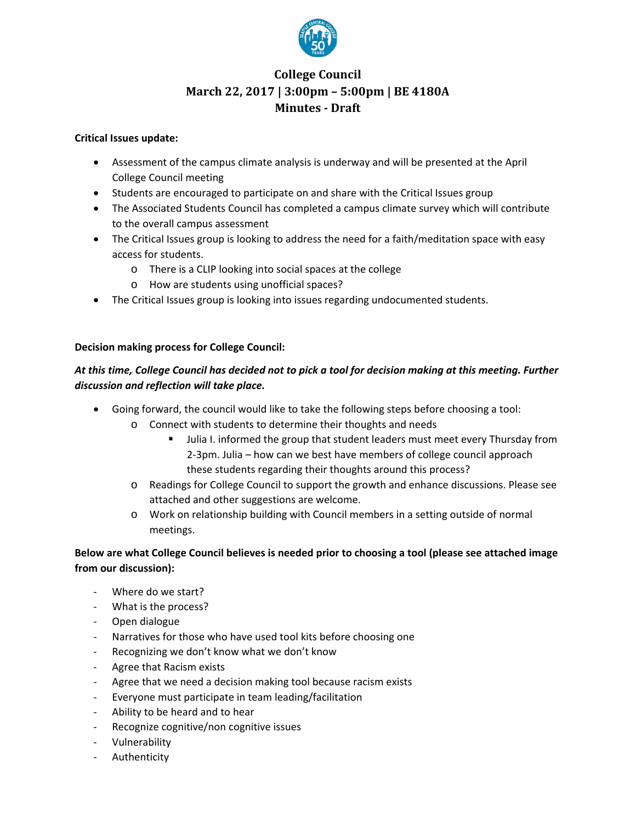

# **College Council March 22, 2017 | 3:00pm – 5:00pm | BE 4180A Minutes - Draft**

#### **Critical Issues update:**

- Assessment of the campus climate analysis is underway and will be presented at the April College Council meeting
- Students are encouraged to participate on and share with the Critical Issues group
- The Associated Students Council has completed a campus climate survey which will contribute to the overall campus assessment
- The Critical Issues group is looking to address the need for a faith/meditation space with easy access for students.
	- o There is a CLIP looking into social spaces at the college
	- o How are students using unofficial spaces?
- The Critical Issues group is looking into issues regarding undocumented students.

#### **Decision making process for College Council:**

### *At this time, College Council has decided not to pick a tool for decision making at this meeting. Further discussion and reflection will take place.*

- Going forward, the council would like to take the following steps before choosing a tool:
	- o Connect with students to determine their thoughts and needs
		- Julia I. informed the group that student leaders must meet every Thursday from 2-3pm. Julia – how can we best have members of college council approach these students regarding their thoughts around this process?
		- o Readings for College Council to support the growth and enhance discussions. Please see attached and other suggestions are welcome.
		- o Work on relationship building with Council members in a setting outside of normal meetings.

### **Below are what College Council believes is needed prior to choosing a tool (please see attached image from our discussion):**

- Where do we start?
- What is the process?
- Open dialogue
- Narratives for those who have used tool kits before choosing one
- Recognizing we don't know what we don't know
- Agree that Racism exists
- Agree that we need a decision making tool because racism exists
- Everyone must participate in team leading/facilitation
- Ability to be heard and to hear
- Recognize cognitive/non cognitive issues
- Vulnerability
- Authenticity